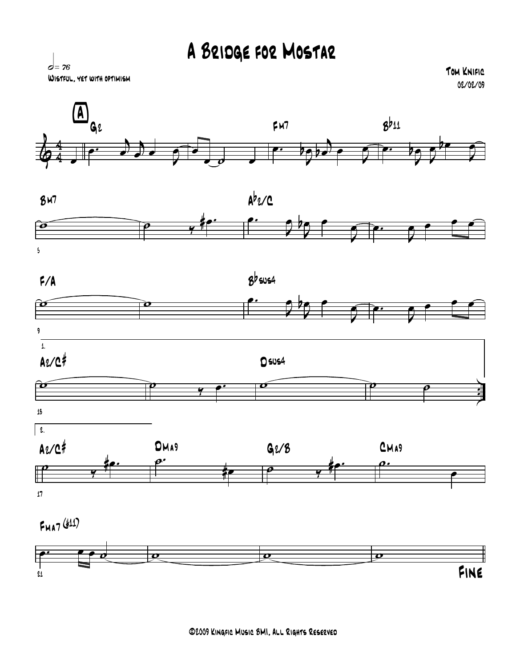## A Bridge for Mostar



Tom Knific 02/02/09